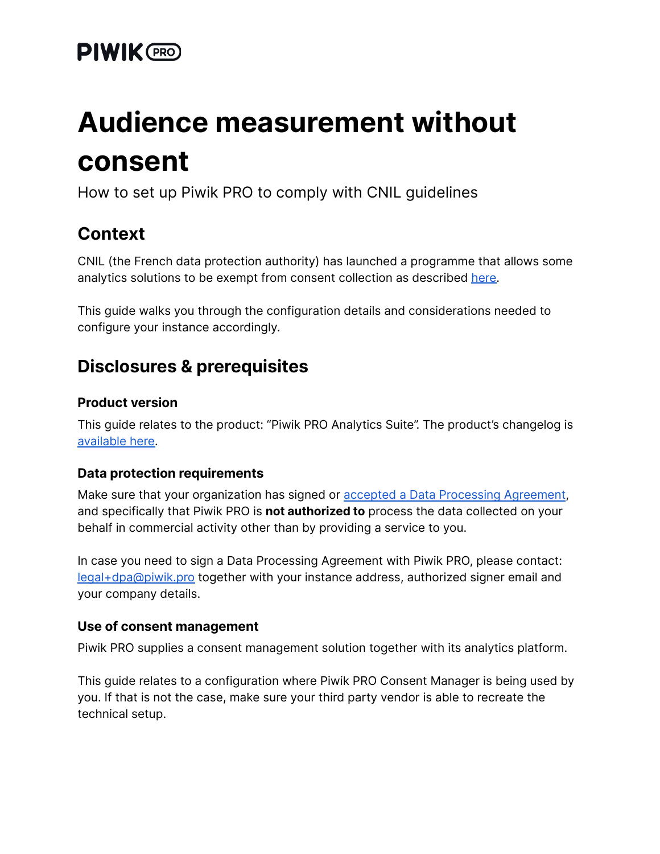# **PIWIK** CRO

# **Audience measurement without consent**

How to set up Piwik PRO to comply with CNIL guidelines

### **Context**

CNIL (the French data protection authority) has launched a programme that allows some analytics solutions to be exempt from consent collection as described [here.](https://www.cnil.fr/fr/solutions-de-mesure-daudience-exemptees-de-consentement-la-cnil-lance-un-programme-devaluation)

This guide walks you through the configuration details and considerations needed to configure your instance accordingly.

### **Disclosures & prerequisites**

#### **Product version**

This guide relates to the product: "Piwik PRO Analytics Suite". The product's changelog is [available](https://piwik.pro/changelog) here.

#### **Data protection requirements**

Make sure that your organization has signed or accepted a Data Processing [Agreement](https://piwik.pro/core-dpa/), and specifically that Piwik PRO is **not authorized to** process the data collected on your behalf in commercial activity other than by providing a service to you.

In case you need to sign a Data Processing Agreement with Piwik PRO, please contact: [legal+dpa@piwik.pro](mailto:legal+dpa@piwik.pro) together with your instance address, authorized signer email and your company details.

#### **Use of consent management**

Piwik PRO supplies a consent management solution together with its analytics platform.

This guide relates to a configuration where Piwik PRO Consent Manager is being used by you. If that is not the case, make sure your third party vendor is able to recreate the technical setup.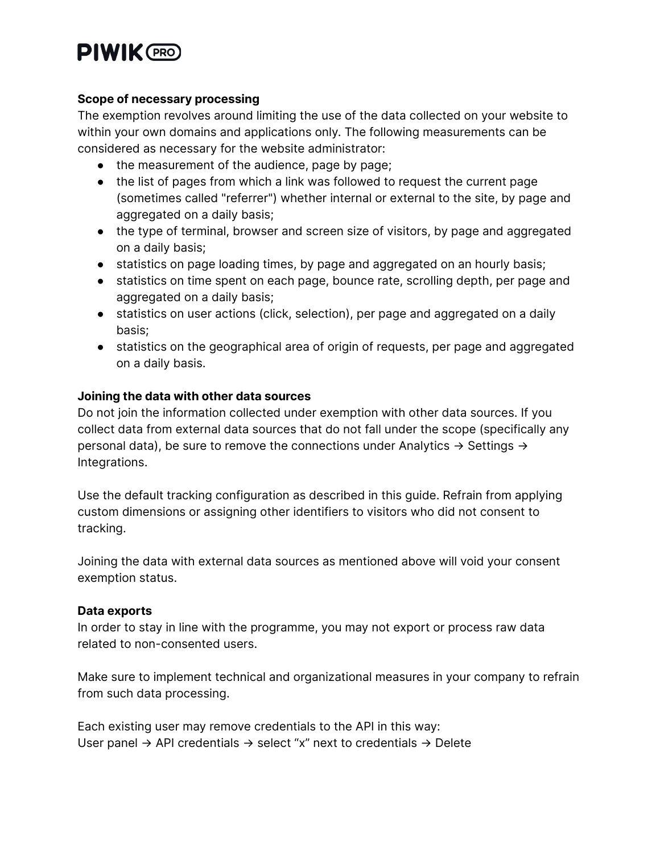# **PIWIK (PRO)**

#### **Scope of necessary processing**

The exemption revolves around limiting the use of the data collected on your website to within your own domains and applications only. The following measurements can be considered as necessary for the website administrator:

- the measurement of the audience, page by page;
- the list of pages from which a link was followed to request the current page (sometimes called "referrer") whether internal or external to the site, by page and aggregated on a daily basis;
- the type of terminal, browser and screen size of visitors, by page and aggregated on a daily basis;
- statistics on page loading times, by page and aggregated on an hourly basis;
- statistics on time spent on each page, bounce rate, scrolling depth, per page and aggregated on a daily basis;
- statistics on user actions (click, selection), per page and aggregated on a daily basis;
- statistics on the geographical area of origin of requests, per page and aggregated on a daily basis.

#### **Joining the data with other data sources**

Do not join the information collected under exemption with other data sources. If you collect data from external data sources that do not fall under the scope (specifically any personal data), be sure to remove the connections under Analytics  $\rightarrow$  Settings  $\rightarrow$ Integrations.

Use the default tracking configuration as described in this guide. Refrain from applying custom dimensions or assigning other identifiers to visitors who did not consent to tracking.

Joining the data with external data sources as mentioned above will void your consent exemption status.

#### **Data exports**

In order to stay in line with the programme, you may not export or process raw data related to non-consented users.

Make sure to implement technical and organizational measures in your company to refrain from such data processing.

Each existing user may remove credentials to the API in this way: User panel  $\rightarrow$  API credentials  $\rightarrow$  select "x" next to credentials  $\rightarrow$  Delete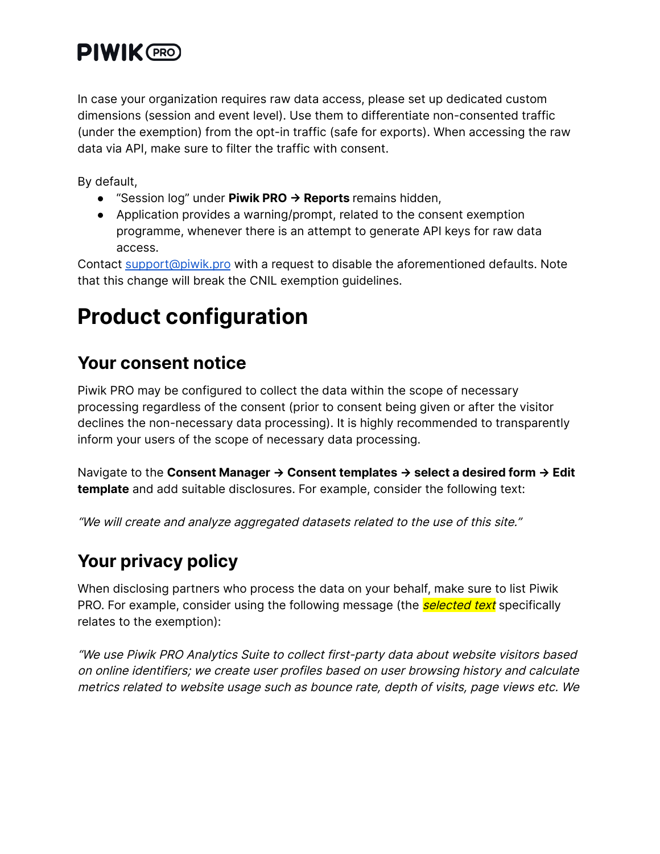# **PIWIK** PRO

In case your organization requires raw data access, please set up dedicated custom dimensions (session and event level). Use them to differentiate non-consented traffic (under the exemption) from the opt-in traffic (safe for exports). When accessing the raw data via API, make sure to filter the traffic with consent.

By default,

- "Session log" under **Piwik PRO -> Reports** remains hidden,
- Application provides a warning/prompt, related to the consent exemption programme, whenever there is an attempt to generate API keys for raw data access.

Contact [support@piwik.pro](mailto:support@piwik.pro) with a request to disable the aforementioned defaults. Note that this change will break the CNIL exemption guidelines.

# **Product configuration**

### **Your consent notice**

Piwik PRO may be configured to collect the data within the scope of necessary processing regardless of the consent (prior to consent being given or after the visitor declines the non-necessary data processing). It is highly recommended to transparently inform your users of the scope of necessary data processing.

Navigate to the **Consent Manager -> Consent templates -> select a desired form -> Edit template** and add suitable disclosures. For example, consider the following text:

"We will create and analyze aggregated datasets related to the use of this site."

## **Your privacy policy**

When disclosing partners who process the data on your behalf, make sure to list Piwik PRO. For example, consider using the following message (the **selected text** specifically relates to the exemption):

"We use Piwik PRO Analytics Suite to collect first-party data about website visitors based on online identifiers; we create user profiles based on user browsing history and calculate metrics related to website usage such as bounce rate, depth of visits, page views etc. We